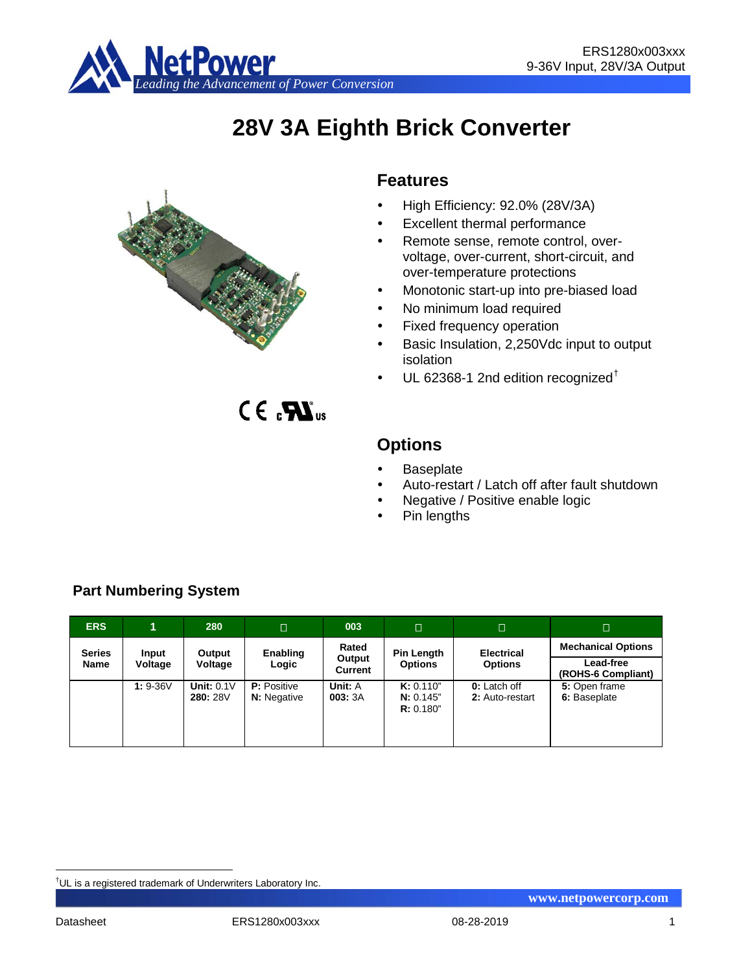

# **28V 3A Eighth Brick Converter**



 $C \in \mathbf{R}$ <sub>us</sub>

# **Features**

- High Efficiency: 92.0% (28V/3A)
- Excellent thermal performance
- Remote sense, remote control, overvoltage, over-current, short-circuit, and over-temperature protections
- Monotonic start-up into pre-biased load
- No minimum load required
- Fixed frequency operation
- Basic Insulation, 2,250Vdc input to output isolation
- UL 62368-1 2nd edition recognized[†](#page-0-0)

**Options**

- **Baseplate**
- Auto-restart / Latch off after fault shutdown
- Negative / Positive enable logic
- Pin lengths
- **ERS 1 280 003 Series Name Input Voltage Output Voltage Enabling Logic Rated Output Current Pin Length Options Electrical Options Mechanical Options Lead-free (ROHS-6 Compliant) 1:** 9-36V **Unit:** 0.1V **280:** 28V **P:** Positive **N:** Negative **Unit:** A **003:** 3A **K:** 0.110" **N:** 0.145" **R:** 0.180" **0:** Latch off **2:** Auto-restart **5:** Open frame **6:** Baseplate

# **Part Numbering System**

<span id="page-0-0"></span><sup>–&</sup>lt;br>† UL is a registered trademark of Underwriters Laboratory Inc.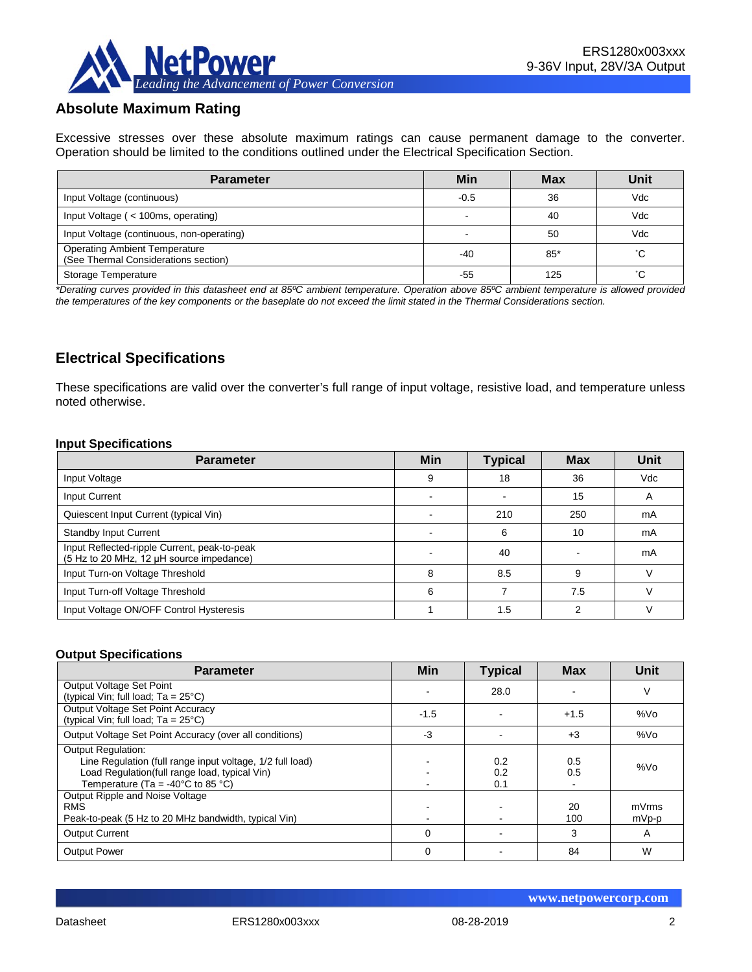

# **Absolute Maximum Rating**

Excessive stresses over these absolute maximum ratings can cause permanent damage to the converter. Operation should be limited to the conditions outlined under the Electrical Specification Section.

| <b>Parameter</b>                                                             | Min    | <b>Max</b> | Unit |
|------------------------------------------------------------------------------|--------|------------|------|
| Input Voltage (continuous)                                                   | $-0.5$ | 36         | Vdc  |
| Input Voltage ( < 100ms, operating)                                          |        | 40         | Vdc  |
| Input Voltage (continuous, non-operating)                                    |        | 50         | Vdc  |
| <b>Operating Ambient Temperature</b><br>(See Thermal Considerations section) | -40    | $85*$      | °С   |
| Storage Temperature                                                          | -55    | 125        | °С   |

*\*Derating curves provided in this datasheet end at 85ºC ambient temperature. Operation above 85ºC ambient temperature is allowed provided the temperatures of the key components or the baseplate do not exceed the limit stated in the Thermal Considerations section.*

# **Electrical Specifications**

These specifications are valid over the converter's full range of input voltage, resistive load, and temperature unless noted otherwise.

#### **Input Specifications**

| <b>Parameter</b>                                                                         | <b>Min</b> | <b>Typical</b> | <b>Max</b> | Unit |
|------------------------------------------------------------------------------------------|------------|----------------|------------|------|
| Input Voltage                                                                            | 9          | 18             | 36         | Vdc  |
| Input Current                                                                            |            |                | 15         | A    |
| Quiescent Input Current (typical Vin)                                                    |            | 210            | 250        | mA   |
| <b>Standby Input Current</b>                                                             |            | 6              | 10         | mA   |
| Input Reflected-ripple Current, peak-to-peak<br>(5 Hz to 20 MHz, 12 µH source impedance) |            | 40             |            | mA   |
| Input Turn-on Voltage Threshold                                                          | 8          | 8.5            | 9          |      |
| Input Turn-off Voltage Threshold                                                         | 6          |                | 7.5        |      |
| Input Voltage ON/OFF Control Hysteresis                                                  |            | 1.5            | ົ          |      |

#### **Output Specifications**

| <b>Parameter</b>                                                                                                                                                                                  | Min    | <b>Typical</b>    | <b>Max</b> | Unit            |
|---------------------------------------------------------------------------------------------------------------------------------------------------------------------------------------------------|--------|-------------------|------------|-----------------|
| Output Voltage Set Point<br>(typical Vin; full load; $Ta = 25^{\circ}C$ )                                                                                                                         |        | 28.0              |            | ٧               |
| Output Voltage Set Point Accuracy<br>(typical Vin; full load; $Ta = 25^{\circ}C$ )                                                                                                                | $-1.5$ |                   | $+1.5$     | %V <sub>O</sub> |
| Output Voltage Set Point Accuracy (over all conditions)                                                                                                                                           | $-3$   |                   | $+3$       | %Vo             |
| <b>Output Regulation:</b><br>Line Regulation (full range input voltage, 1/2 full load)<br>Load Regulation(full range load, typical Vin)<br>Temperature (Ta = -40 $^{\circ}$ C to 85 $^{\circ}$ C) |        | 0.2<br>0.2<br>0.1 | 0.5<br>0.5 | %Vo             |
| Output Ripple and Noise Voltage<br><b>RMS</b><br>Peak-to-peak (5 Hz to 20 MHz bandwidth, typical Vin)                                                                                             |        |                   | 20<br>100  | mVrms<br>mVp-p  |
| <b>Output Current</b>                                                                                                                                                                             | 0      |                   | 3          | A               |
| <b>Output Power</b>                                                                                                                                                                               | 0      |                   | 84         | W               |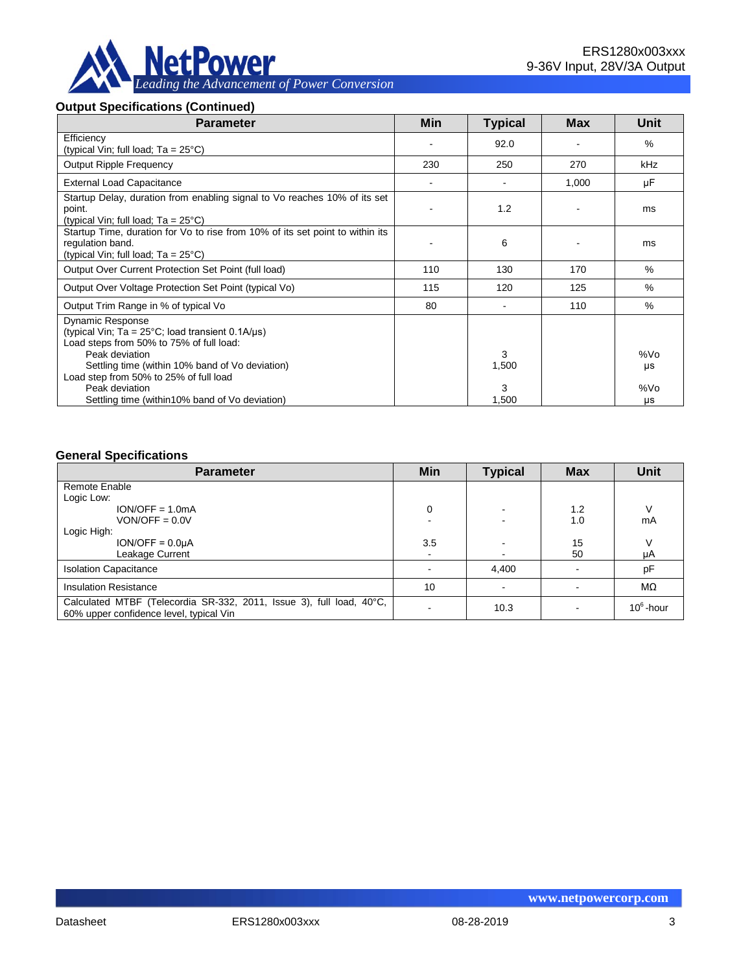

### **Output Specifications (Continued)**

| <b>Parameter</b>                                                                                                                                          | Min | <b>Typical</b> | <b>Max</b> | Unit      |
|-----------------------------------------------------------------------------------------------------------------------------------------------------------|-----|----------------|------------|-----------|
| Efficiency<br>(typical Vin; full load; $Ta = 25^{\circ}C$ )                                                                                               |     | 92.0           |            | $\%$      |
| <b>Output Ripple Frequency</b>                                                                                                                            | 230 | 250            | 270        | kHz       |
| <b>External Load Capacitance</b>                                                                                                                          |     |                | 1,000      | μF        |
| Startup Delay, duration from enabling signal to Vo reaches 10% of its set<br>point.<br>(typical Vin; full load; $Ta = 25^{\circ}C$ )                      |     | 1.2            |            | ms        |
| Startup Time, duration for Vo to rise from 10% of its set point to within its<br>regulation band.<br>(typical Vin; full load; Ta = 25°C)                  |     | 6              |            | ms        |
| Output Over Current Protection Set Point (full load)                                                                                                      | 110 | 130            | 170        | %         |
| Output Over Voltage Protection Set Point (typical Vo)                                                                                                     | 115 | 120            | 125        | $\%$      |
| Output Trim Range in % of typical Vo                                                                                                                      | 80  |                | 110        | $\%$      |
| <b>Dynamic Response</b><br>(typical Vin; Ta = $25^{\circ}$ C; load transient 0.1A/ $\mu$ s)<br>Load steps from 50% to 75% of full load:<br>Peak deviation |     | 3              |            | %Vo       |
| Settling time (within 10% band of Vo deviation)<br>Load step from 50% to 25% of full load                                                                 |     | 1,500          |            | μs        |
| Peak deviation<br>Settling time (within 10% band of Vo deviation)                                                                                         |     | 3<br>1,500     |            | %Vo<br>μs |

#### **General Specifications**

| <b>Parameter</b>                                                                                                | Min            | <b>Typical</b> | <b>Max</b> | <b>Unit</b>  |
|-----------------------------------------------------------------------------------------------------------------|----------------|----------------|------------|--------------|
| Remote Enable                                                                                                   |                |                |            |              |
| Logic Low:                                                                                                      |                |                |            |              |
| $ION/OFF = 1.0mA$                                                                                               | 0              |                | 1.2        |              |
| $VON/OFF = 0.0V$                                                                                                |                |                | 1.0        | mA           |
| Logic High:                                                                                                     |                |                |            |              |
| $ION/OFF = 0.0µA$                                                                                               | 3.5            |                | 15         |              |
| Leakage Current                                                                                                 | $\blacksquare$ |                | 50         | μA           |
| <b>Isolation Capacitance</b>                                                                                    |                | 4,400          |            | pF           |
| <b>Insulation Resistance</b>                                                                                    | 10             |                |            | $M\Omega$    |
| Calculated MTBF (Telecordia SR-332, 2011, Issue 3), full load, 40°C,<br>60% upper confidence level, typical Vin |                | 10.3           |            | $10^6$ -hour |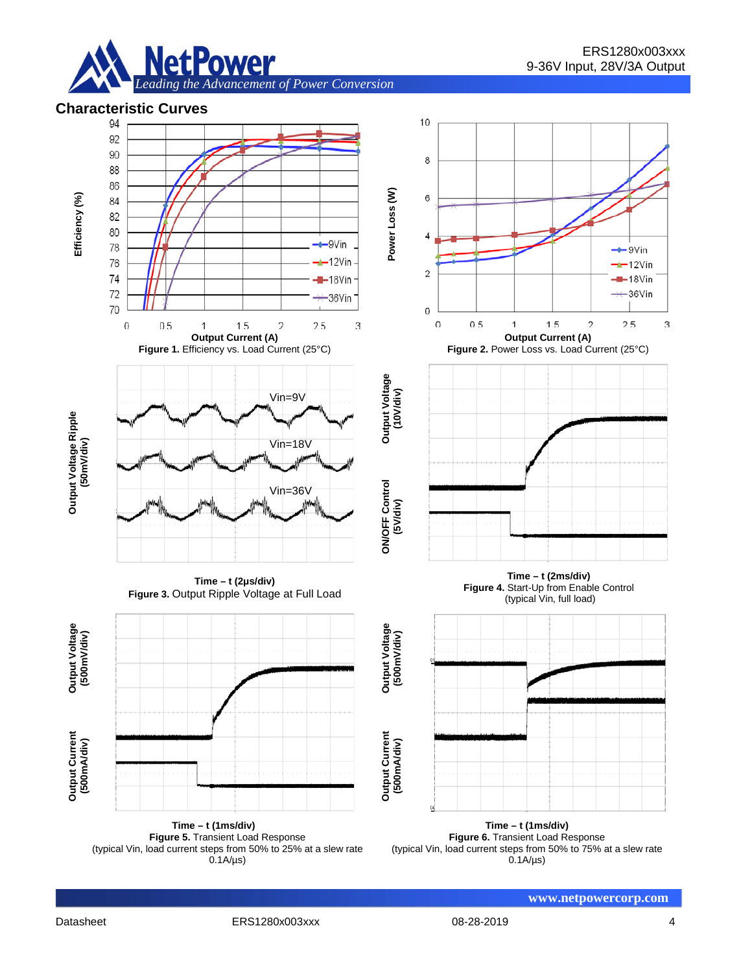



(typical Vin, load current steps from 50% to 25% at a slew rate  $0.1A/\mu s$ 

**Figure 6.** Transient Load Response (typical Vin, load current steps from 50% to 75% at a slew rate 0.1A/µs)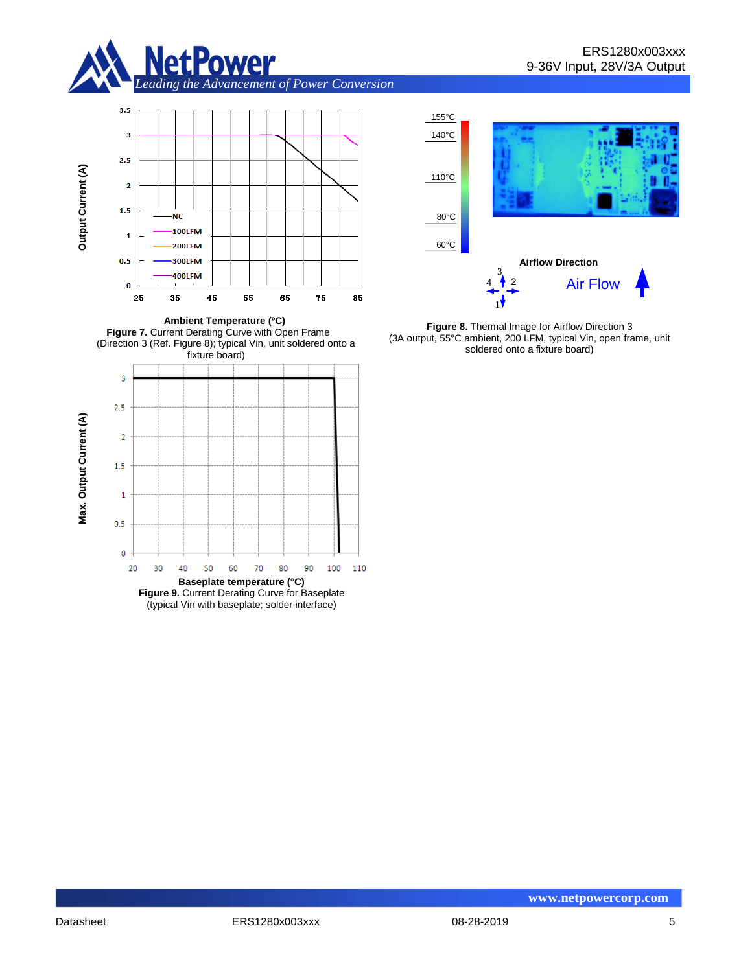



**Ambient Temperature (ºC) Figure 7.** Current Derating Curve with Open Frame (Direction 3 (Ref. Figure 8); typical Vin, unit soldered onto a fixture board)









**Figure 8.** Thermal Image for Airflow Direction 3 (3A output, 55°C ambient, 200 LFM, typical Vin, open frame, unit soldered onto a fixture board)

155°C 140°C

110°C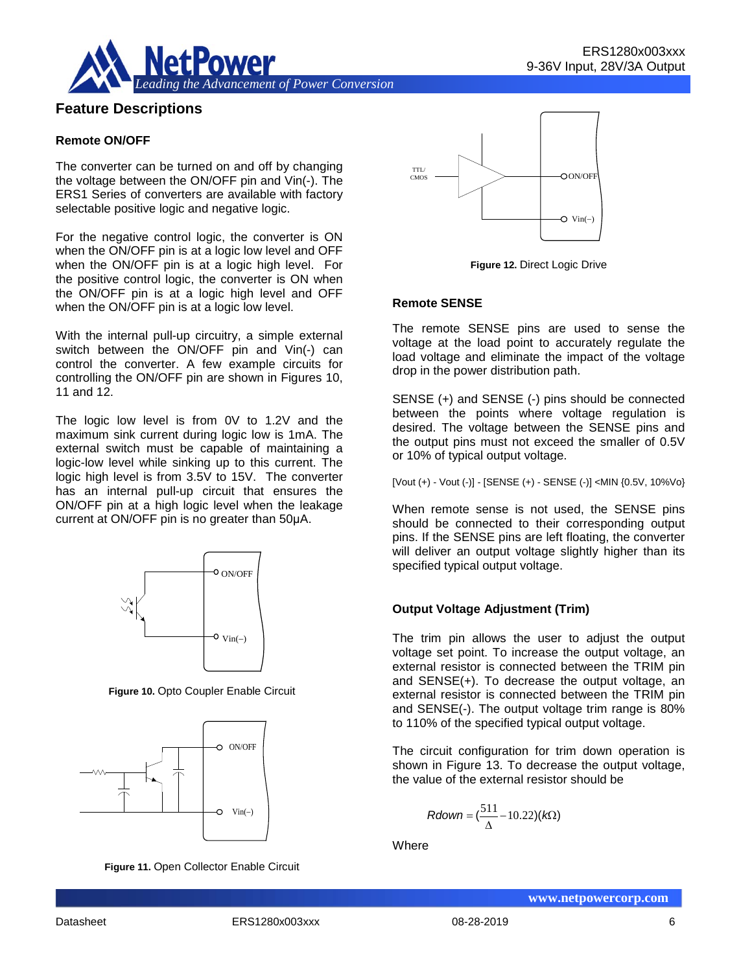

# **Feature Descriptions**

#### **Remote ON/OFF**

The converter can be turned on and off by changing the voltage between the ON/OFF pin and Vin(-). The ERS1 Series of converters are available with factory selectable positive logic and negative logic.

For the negative control logic, the converter is ON when the ON/OFF pin is at a logic low level and OFF when the ON/OFF pin is at a logic high level. For the positive control logic, the converter is ON when the ON/OFF pin is at a logic high level and OFF when the ON/OFF pin is at a logic low level.

With the internal pull-up circuitry, a simple external switch between the ON/OFF pin and Vin(-) can control the converter. A few example circuits for controlling the ON/OFF pin are shown in Figures 10, 11 and 12.

The logic low level is from 0V to 1.2V and the maximum sink current during logic low is 1mA. The external switch must be capable of maintaining a logic-low level while sinking up to this current. The logic high level is from 3.5V to 15V. The converter has an internal pull-up circuit that ensures the ON/OFF pin at a high logic level when the leakage current at ON/OFF pin is no greater than 50μA.



**Figure 10.** Opto Coupler Enable Circuit



**Figure 11.** Open Collector Enable Circuit



**Figure 12.** Direct Logic Drive

#### **Remote SENSE**

The remote SENSE pins are used to sense the voltage at the load point to accurately regulate the load voltage and eliminate the impact of the voltage drop in the power distribution path.

SENSE (+) and SENSE (-) pins should be connected between the points where voltage regulation is desired. The voltage between the SENSE pins and the output pins must not exceed the smaller of 0.5V or 10% of typical output voltage.

[Vout (+) - Vout (-)] - [SENSE (+) - SENSE (-)] <MIN {0.5V, 10%Vo}

When remote sense is not used, the SENSE pins should be connected to their corresponding output pins. If the SENSE pins are left floating, the converter will deliver an output voltage slightly higher than its specified typical output voltage.

#### **Output Voltage Adjustment (Trim)**

The trim pin allows the user to adjust the output voltage set point. To increase the output voltage, an external resistor is connected between the TRIM pin and SENSE(+). To decrease the output voltage, an external resistor is connected between the TRIM pin and SENSE(-). The output voltage trim range is 80% to 110% of the specified typical output voltage.

The circuit configuration for trim down operation is shown in Figure 13. To decrease the output voltage, the value of the external resistor should be

$$
Rdown = (\frac{511}{\Delta} - 10.22)(k\Omega)
$$

**Where**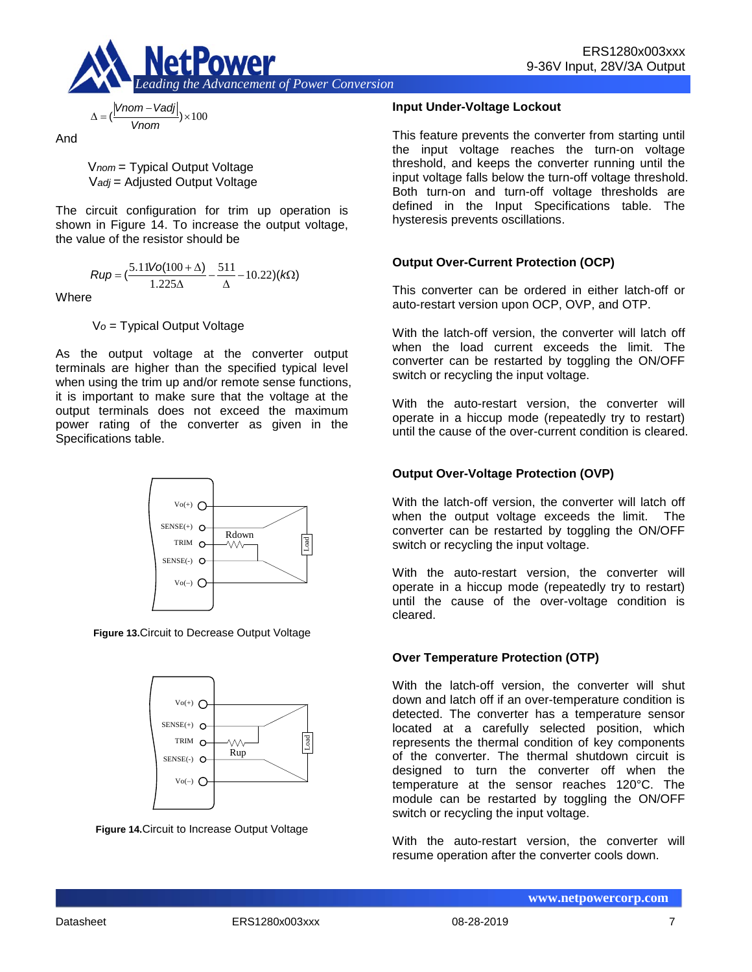

$$
\Delta = \left(\frac{|Vnom - Vadj|}{Vnom}\right) \times 100
$$

And

V*nom* = Typical Output Voltage V*adj* = Adjusted Output Voltage

The circuit configuration for trim up operation is shown in Figure 14. To increase the output voltage, the value of the resistor should be

$$
Rup = \left(\frac{5.11\text{Vol}(100 + \Delta)}{1.225\Delta} - \frac{511}{\Delta} - 10.22\right)(k\Omega)
$$

**Where** 

V*o* = Typical Output Voltage

As the output voltage at the converter output terminals are higher than the specified typical level when using the trim up and/or remote sense functions, it is important to make sure that the voltage at the output terminals does not exceed the maximum power rating of the converter as given in the Specifications table.



**Figure 13.**Circuit to Decrease Output Voltage



**Figure 14.**Circuit to Increase Output Voltage

#### **Input Under-Voltage Lockout**

This feature prevents the converter from starting until the input voltage reaches the turn-on voltage threshold, and keeps the converter running until the input voltage falls below the turn-off voltage threshold. Both turn-on and turn-off voltage thresholds are defined in the Input Specifications table. The hysteresis prevents oscillations.

### **Output Over-Current Protection (OCP)**

This converter can be ordered in either latch-off or auto-restart version upon OCP, OVP, and OTP.

With the latch-off version, the converter will latch off when the load current exceeds the limit. The converter can be restarted by toggling the ON/OFF switch or recycling the input voltage.

With the auto-restart version, the converter will operate in a hiccup mode (repeatedly try to restart) until the cause of the over-current condition is cleared.

### **Output Over-Voltage Protection (OVP)**

With the latch-off version, the converter will latch off when the output voltage exceeds the limit. The converter can be restarted by toggling the ON/OFF switch or recycling the input voltage.

With the auto-restart version, the converter will operate in a hiccup mode (repeatedly try to restart) until the cause of the over-voltage condition is cleared.

### **Over Temperature Protection (OTP)**

With the latch-off version, the converter will shut down and latch off if an over-temperature condition is detected. The converter has a temperature sensor located at a carefully selected position, which represents the thermal condition of key components of the converter. The thermal shutdown circuit is designed to turn the converter off when the temperature at the sensor reaches 120°C. The module can be restarted by toggling the ON/OFF switch or recycling the input voltage.

With the auto-restart version, the converter will resume operation after the converter cools down.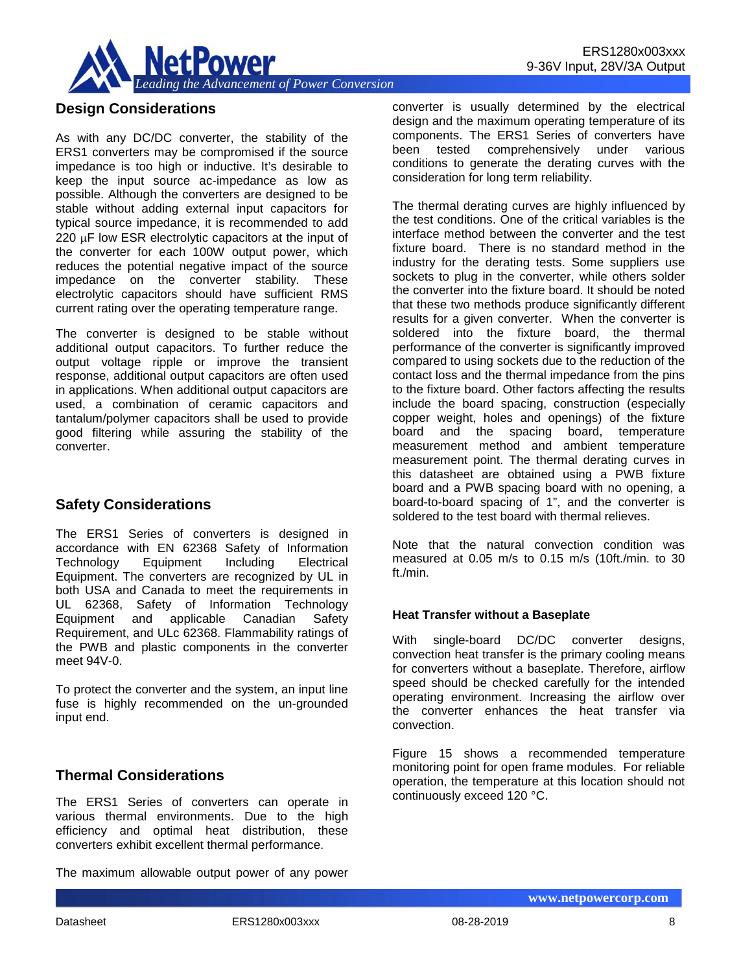

# **Design Considerations**

As with any DC/DC converter, the stability of the ERS1 converters may be compromised if the source impedance is too high or inductive. It's desirable to keep the input source ac-impedance as low as possible. Although the converters are designed to be stable without adding external input capacitors for typical source impedance, it is recommended to add 220 µF low ESR electrolytic capacitors at the input of the converter for each 100W output power, which reduces the potential negative impact of the source impedance on the converter stability. These electrolytic capacitors should have sufficient RMS current rating over the operating temperature range.

The converter is designed to be stable without additional output capacitors. To further reduce the output voltage ripple or improve the transient response, additional output capacitors are often used in applications. When additional output capacitors are used, a combination of ceramic capacitors and tantalum/polymer capacitors shall be used to provide good filtering while assuring the stability of the converter.

# **Safety Considerations**

The ERS1 Series of converters is designed in accordance with EN 62368 Safety of Information Technology Equipment Including Electrical Equipment. The converters are recognized by UL in both USA and Canada to meet the requirements in UL 62368, Safety of Information Technology Equipment and applicable Canadian Safety Requirement, and ULc 62368. Flammability ratings of the PWB and plastic components in the converter meet 94V-0.

To protect the converter and the system, an input line fuse is highly recommended on the un-grounded input end.

# **Thermal Considerations**

The ERS1 Series of converters can operate in various thermal environments. Due to the high efficiency and optimal heat distribution, these converters exhibit excellent thermal performance.

The maximum allowable output power of any power

converter is usually determined by the electrical design and the maximum operating temperature of its components. The ERS1 Series of converters have been tested comprehensively under various conditions to generate the derating curves with the consideration for long term reliability.

The thermal derating curves are highly influenced by the test conditions. One of the critical variables is the interface method between the converter and the test fixture board. There is no standard method in the industry for the derating tests. Some suppliers use sockets to plug in the converter, while others solder the converter into the fixture board. It should be noted that these two methods produce significantly different results for a given converter. When the converter is soldered into the fixture board, the thermal performance of the converter is significantly improved compared to using sockets due to the reduction of the contact loss and the thermal impedance from the pins to the fixture board. Other factors affecting the results include the board spacing, construction (especially copper weight, holes and openings) of the fixture board and the spacing board, temperature measurement method and ambient temperature measurement point. The thermal derating curves in this datasheet are obtained using a PWB fixture board and a PWB spacing board with no opening, a board-to-board spacing of 1", and the converter is soldered to the test board with thermal relieves.

Note that the natural convection condition was measured at 0.05 m/s to 0.15 m/s (10ft./min. to 30 ft./min.

#### **Heat Transfer without a Baseplate**

With single-board DC/DC converter designs, convection heat transfer is the primary cooling means for converters without a baseplate. Therefore, airflow speed should be checked carefully for the intended operating environment. Increasing the airflow over the converter enhances the heat transfer via convection.

Figure 15 shows a recommended temperature monitoring point for open frame modules. For reliable operation, the temperature at this location should not continuously exceed 120 °C.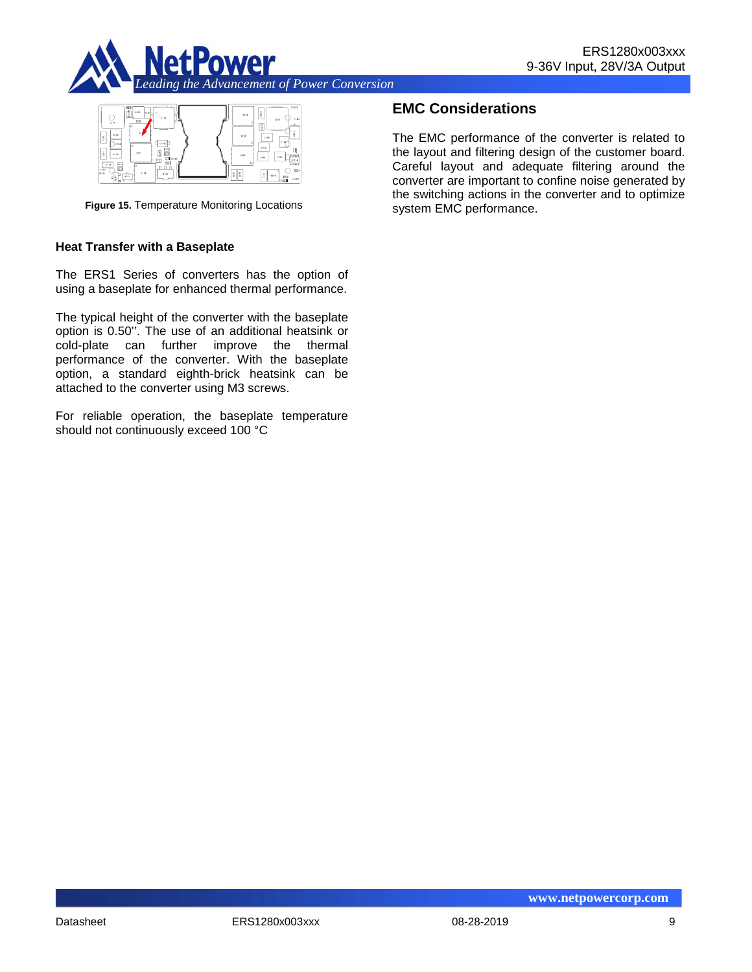



**Figure 15.** Temperature Monitoring Locations

#### **Heat Transfer with a Baseplate**

The ERS1 Series of converters has the option of using a baseplate for enhanced thermal performance.

The typical height of the converter with the baseplate option is 0.50''. The use of an additional heatsink or cold-plate can further improve the thermal performance of the converter. With the baseplate option, a standard eighth-brick heatsink can be attached to the converter using M3 screws.

For reliable operation, the baseplate temperature should not continuously exceed 100 °C

# **EMC Considerations**

The EMC performance of the converter is related to the layout and filtering design of the customer board. Careful layout and adequate filtering around the converter are important to confine noise generated by the switching actions in the converter and to optimize system EMC performance.